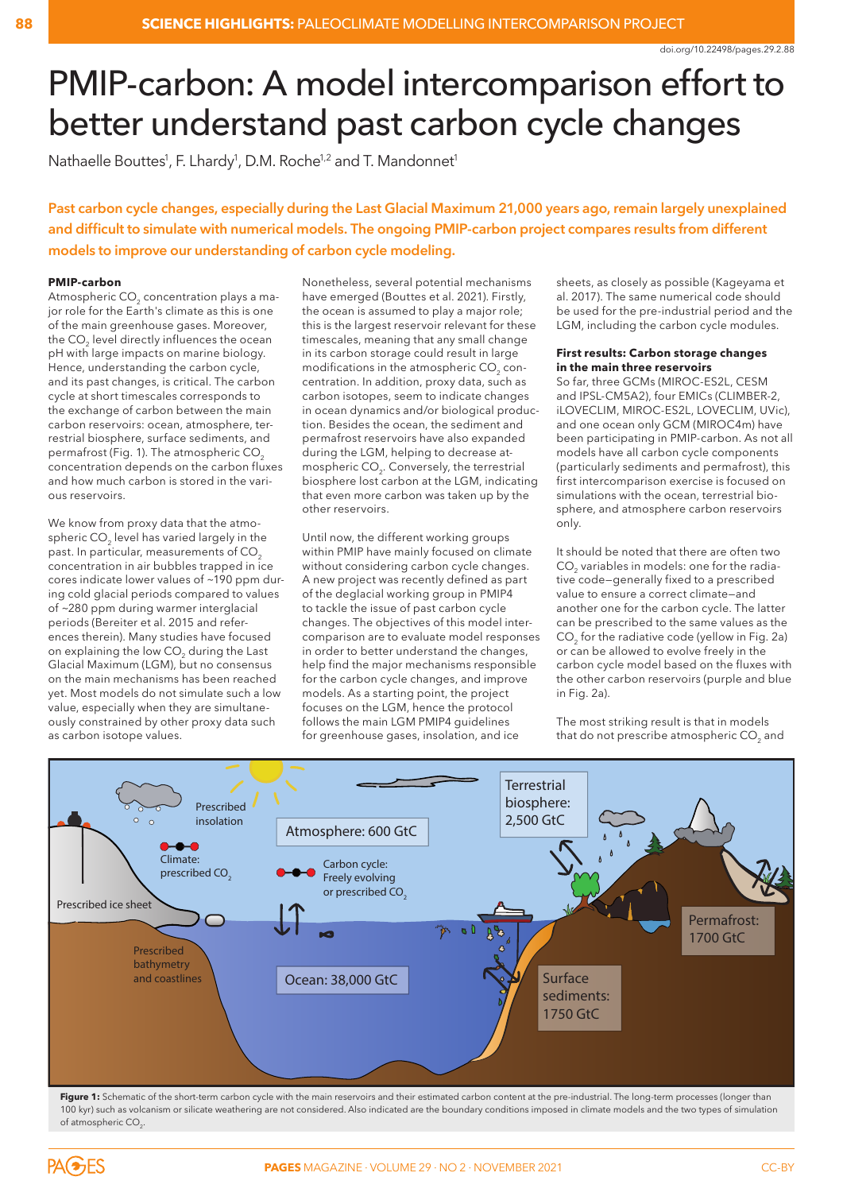# PMIP-carbon: A model intercomparison effort to better understand past carbon cycle changes

Nathaelle Bouttes<sup>1</sup>, F. Lhardy<sup>1</sup>, D.M. Roche<sup>1,2</sup> and T. Mandonnet<sup>1</sup>

**Past carbon cycle changes, especially during the Last Glacial Maximum 21,000 years ago, remain largely unexplained and difficult to simulate with numerical models. The ongoing PMIP-carbon project compares results from different models to improve our understanding of carbon cycle modeling.**

## **PMIP-carbon**

Atmospheric CO<sub>2</sub> concentration plays a major role for the Earth's climate as this is one of the main greenhouse gases. Moreover, the CO<sub>2</sub> level directly influences the ocean pH with large impacts on marine biology. Hence, understanding the carbon cycle, and its past changes, is critical. The carbon cycle at short timescales corresponds to the exchange of carbon between the main carbon reservoirs: ocean, atmosphere, terrestrial biosphere, surface sediments, and permafrost (Fig. 1). The atmospheric CO<sub>2</sub> concentration depends on the carbon fluxes and how much carbon is stored in the various reservoirs.

We know from proxy data that the atmospheric CO<sub>2</sub> level has varied largely in the past. In particular, measurements of  $CO<sub>2</sub>$ concentration in air bubbles trapped in ice cores indicate lower values of ~190 ppm during cold glacial periods compared to values of ~280 ppm during warmer interglacial periods (Bereiter et al. 2015 and references therein). Many studies have focused on explaining the low CO<sub>2</sub> during the Last Glacial Maximum (LGM), but no consensus on the main mechanisms has been reached yet. Most models do not simulate such a low value, especially when they are simultaneously constrained by other proxy data such as carbon isotope values.

Nonetheless, several potential mechanisms have emerged (Bouttes et al. 2021). Firstly, the ocean is assumed to play a major role; this is the largest reservoir relevant for these timescales, meaning that any small change in its carbon storage could result in large modifications in the atmospheric CO<sub>2</sub> concentration. In addition, proxy data, such as carbon isotopes, seem to indicate changes in ocean dynamics and/or biological production. Besides the ocean, the sediment and permafrost reservoirs have also expanded during the LGM, helping to decrease atmospheric CO<sub>2</sub>. Conversely, the terrestrial biosphere lost carbon at the LGM, indicating that even more carbon was taken up by the other reservoirs.

Until now, the different working groups within PMIP have mainly focused on climate without considering carbon cycle changes. A new project was recently defined as part of the deglacial working group in PMIP4 to tackle the issue of past carbon cycle changes. The objectives of this model intercomparison are to evaluate model responses in order to better understand the changes, help find the major mechanisms responsible for the carbon cycle changes, and improve models. As a starting point, the project focuses on the LGM, hence the protocol follows the main LGM PMIP4 guidelines for greenhouse gases, insolation, and ice

sheets, as closely as possible (Kageyama et al. 2017). The same numerical code should be used for the pre-industrial period and the LGM, including the carbon cycle modules.

### **First results: Carbon storage changes in the main three reservoirs**

So far, three GCMs (MIROC-ES2L, CESM and IPSL-CM5A2), four EMICs (CLIMBER-2, iLOVECLIM, MIROC-ES2L, LOVECLIM, UVic), and one ocean only GCM (MIROC4m) have been participating in PMIP-carbon. As not all models have all carbon cycle components (particularly sediments and permafrost), this first intercomparison exercise is focused on simulations with the ocean, terrestrial biosphere, and atmosphere carbon reservoirs only.

It should be noted that there are often two CO<sub>2</sub> variables in models: one for the radiative code—generally fixed to a prescribed value to ensure a correct climate—and another one for the carbon cycle. The latter can be prescribed to the same values as the CO<sub>2</sub> for the radiative code (yellow in Fig. 2a) or can be allowed to evolve freely in the carbon cycle model based on the fluxes with the other carbon reservoirs (purple and blue in Fig. 2a).

The most striking result is that in models that do not prescribe atmospheric CO<sub>2</sub> and



Figure 1: Schematic of the short-term carbon cycle with the main reservoirs and their estimated carbon content at the pre-industrial. The long-term processes (longer than 100 kyr) such as volcanism or silicate weathering are not considered. Also indicated are the boundary conditions imposed in climate models and the two types of simulation of atmospheric CO<sub>2</sub>